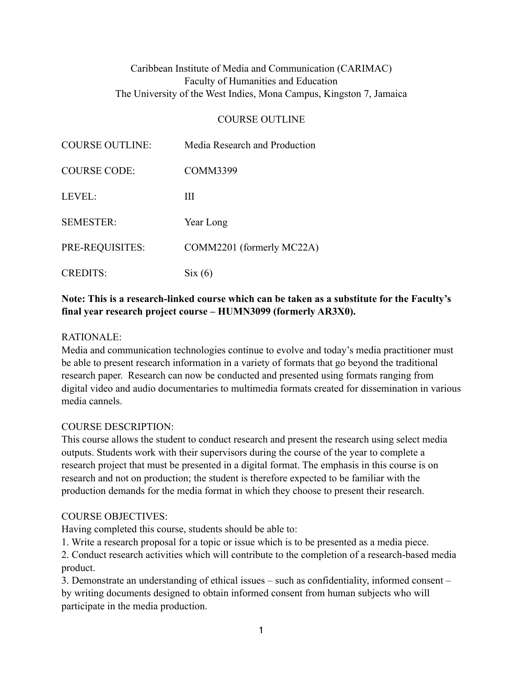# Caribbean Institute of Media and Communication (CARIMAC) Faculty of Humanities and Education The University of the West Indies, Mona Campus, Kingston 7, Jamaica

#### COURSE OUTLINE

| <b>COURSE OUTLINE:</b> | Media Research and Production |
|------------------------|-------------------------------|
| <b>COURSE CODE:</b>    | <b>COMM3399</b>               |
| LEVEL:                 | Ш                             |
| <b>SEMESTER:</b>       | Year Long                     |
| PRE-REQUISITES:        | COMM2201 (formerly MC22A)     |
| <b>CREDITS:</b>        | Six(6)                        |

## **Note: This is a research-linked course which can be taken as a substitute for the Faculty's final year research project course – HUMN3099 (formerly AR3X0).**

#### RATIONALE:

Media and communication technologies continue to evolve and today's media practitioner must be able to present research information in a variety of formats that go beyond the traditional research paper. Research can now be conducted and presented using formats ranging from digital video and audio documentaries to multimedia formats created for dissemination in various media cannels.

#### COURSE DESCRIPTION:

This course allows the student to conduct research and present the research using select media outputs. Students work with their supervisors during the course of the year to complete a research project that must be presented in a digital format. The emphasis in this course is on research and not on production; the student is therefore expected to be familiar with the production demands for the media format in which they choose to present their research.

### COURSE OBJECTIVES:

Having completed this course, students should be able to:

1. Write a research proposal for a topic or issue which is to be presented as a media piece.

2. Conduct research activities which will contribute to the completion of a research-based media product.

3. Demonstrate an understanding of ethical issues – such as confidentiality, informed consent – by writing documents designed to obtain informed consent from human subjects who will participate in the media production.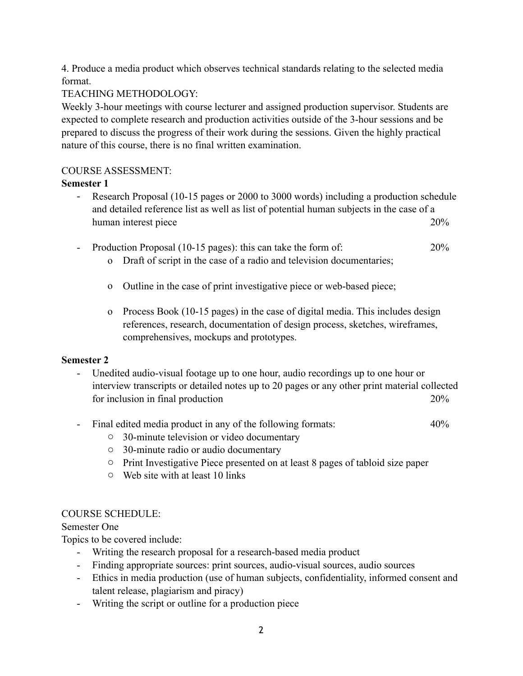4. Produce a media product which observes technical standards relating to the selected media format.

TEACHING METHODOLOGY:

Weekly 3-hour meetings with course lecturer and assigned production supervisor. Students are expected to complete research and production activities outside of the 3-hour sessions and be prepared to discuss the progress of their work during the sessions. Given the highly practical nature of this course, there is no final written examination.

### COURSE ASSESSMENT:

## **Semester 1**

- Research Proposal (10-15 pages or 2000 to 3000 words) including a production schedule and detailed reference list as well as list of potential human subjects in the case of a human interest piece 20%
- Production Proposal (10-15 pages): this can take the form of: 20%
	- o Draft of script in the case of a radio and television documentaries;
	- o Outline in the case of print investigative piece or web-based piece;
	- o Process Book (10-15 pages) in the case of digital media. This includes design references, research, documentation of design process, sketches, wireframes, comprehensives, mockups and prototypes.

# **Semester 2**

- Unedited audio-visual footage up to one hour, audio recordings up to one hour or interview transcripts or detailed notes up to 20 pages or any other print material collected for inclusion in final production 20%
- Final edited media product in any of the following formats: 40%
	- o 30-minute television or video documentary
	- o 30-minute radio or audio documentary
	- o Print Investigative Piece presented on at least 8 pages of tabloid size paper
	- o Web site with at least 10 links

# COURSE SCHEDULE:

Semester One

Topics to be covered include:

- Writing the research proposal for a research-based media product
- Finding appropriate sources: print sources, audio-visual sources, audio sources
- Ethics in media production (use of human subjects, confidentiality, informed consent and talent release, plagiarism and piracy)
- Writing the script or outline for a production piece